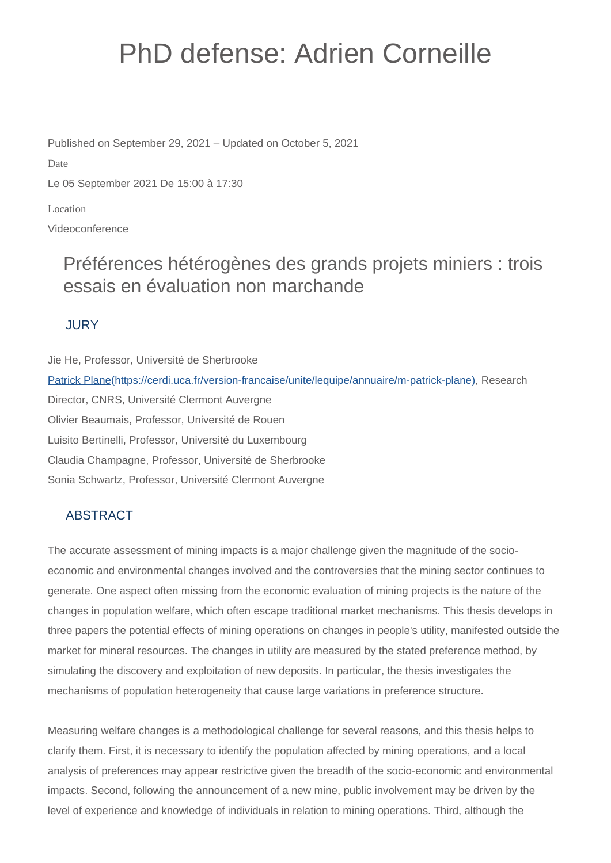# PhD defense: Adrien Corneille

Published on September 29, 2021 – Updated on October 5, 2021

Date

Le 05 September 2021 De 15:00 à 17:30

Location

Videoconference

## Préférences hétérogènes des grands projets miniers : trois essais en évaluation non marchande

#### **JURY**

Jie He, Professor, Université de Sherbrooke [Patrick Plane\(https://cerdi.uca.fr/version-francaise/unite/lequipe/annuaire/m-patrick-plane\)](https://cerdi.uca.fr/version-francaise/unite/lequipe/annuaire/m-patrick-plane), Research Director, CNRS, Université Clermont Auvergne Olivier Beaumais, Professor, Université de Rouen Luisito Bertinelli, Professor, Université du Luxembourg Claudia Champagne, Professor, Université de Sherbrooke Sonia Schwartz, Professor, Université Clermont Auvergne

### ABSTRACT

The accurate assessment of mining impacts is a major challenge given the magnitude of the socioeconomic and environmental changes involved and the controversies that the mining sector continues to generate. One aspect often missing from the economic evaluation of mining projects is the nature of the changes in population welfare, which often escape traditional market mechanisms. This thesis develops in three papers the potential effects of mining operations on changes in people's utility, manifested outside the market for mineral resources. The changes in utility are measured by the stated preference method, by simulating the discovery and exploitation of new deposits. In particular, the thesis investigates the mechanisms of population heterogeneity that cause large variations in preference structure.

Measuring welfare changes is a methodological challenge for several reasons, and this thesis helps to clarify them. First, it is necessary to identify the population affected by mining operations, and a local analysis of preferences may appear restrictive given the breadth of the socio-economic and environmental impacts. Second, following the announcement of a new mine, public involvement may be driven by the level of experience and knowledge of individuals in relation to mining operations. Third, although the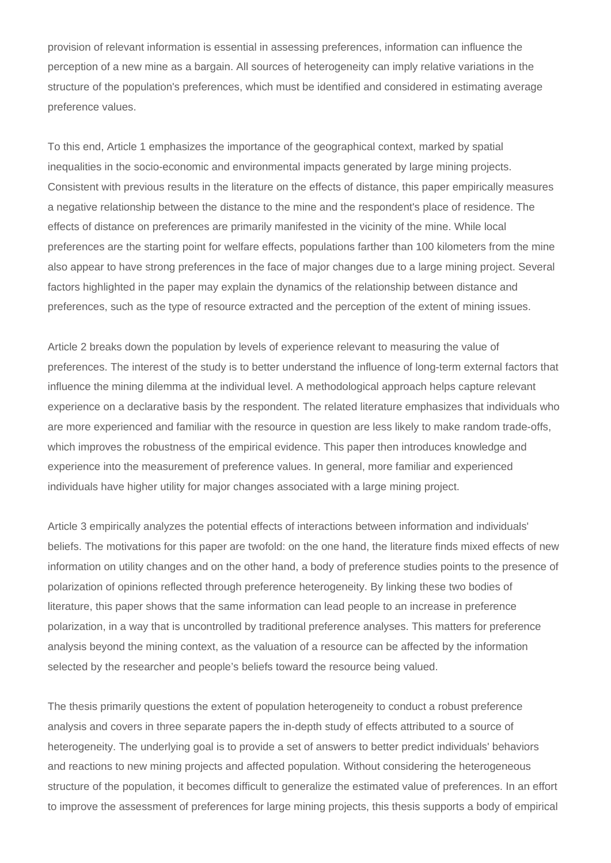provision of relevant information is essential in assessing preferences, information can influence the perception of a new mine as a bargain. All sources of heterogeneity can imply relative variations in the structure of the population's preferences, which must be identified and considered in estimating average preference values.

To this end, Article 1 emphasizes the importance of the geographical context, marked by spatial inequalities in the socio-economic and environmental impacts generated by large mining projects. Consistent with previous results in the literature on the effects of distance, this paper empirically measures a negative relationship between the distance to the mine and the respondent's place of residence. The effects of distance on preferences are primarily manifested in the vicinity of the mine. While local preferences are the starting point for welfare effects, populations farther than 100 kilometers from the mine also appear to have strong preferences in the face of major changes due to a large mining project. Several factors highlighted in the paper may explain the dynamics of the relationship between distance and preferences, such as the type of resource extracted and the perception of the extent of mining issues.

Article 2 breaks down the population by levels of experience relevant to measuring the value of preferences. The interest of the study is to better understand the influence of long-term external factors that influence the mining dilemma at the individual level. A methodological approach helps capture relevant experience on a declarative basis by the respondent. The related literature emphasizes that individuals who are more experienced and familiar with the resource in question are less likely to make random trade-offs, which improves the robustness of the empirical evidence. This paper then introduces knowledge and experience into the measurement of preference values. In general, more familiar and experienced individuals have higher utility for major changes associated with a large mining project.

Article 3 empirically analyzes the potential effects of interactions between information and individuals' beliefs. The motivations for this paper are twofold: on the one hand, the literature finds mixed effects of new information on utility changes and on the other hand, a body of preference studies points to the presence of polarization of opinions reflected through preference heterogeneity. By linking these two bodies of literature, this paper shows that the same information can lead people to an increase in preference polarization, in a way that is uncontrolled by traditional preference analyses. This matters for preference analysis beyond the mining context, as the valuation of a resource can be affected by the information selected by the researcher and people's beliefs toward the resource being valued.

The thesis primarily questions the extent of population heterogeneity to conduct a robust preference analysis and covers in three separate papers the in-depth study of effects attributed to a source of heterogeneity. The underlying goal is to provide a set of answers to better predict individuals' behaviors and reactions to new mining projects and affected population. Without considering the heterogeneous structure of the population, it becomes difficult to generalize the estimated value of preferences. In an effort to improve the assessment of preferences for large mining projects, this thesis supports a body of empirical